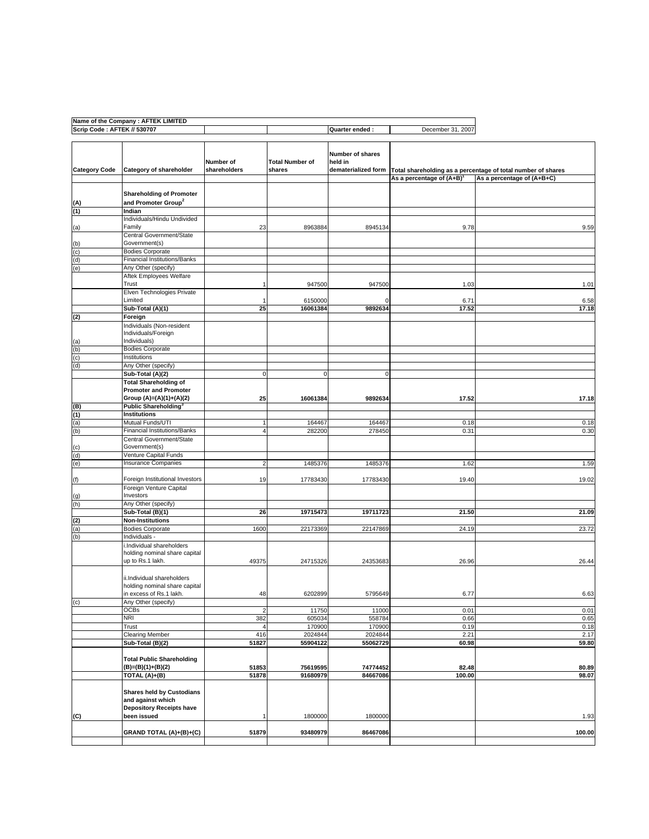|                             | Name of the Company : AFTEK LIMITED                   |                           |                                  |                             |                          |                                                                                    |
|-----------------------------|-------------------------------------------------------|---------------------------|----------------------------------|-----------------------------|--------------------------|------------------------------------------------------------------------------------|
| Scrip Code: AFTEK // 530707 |                                                       |                           |                                  | Quarter ended :             | December 31, 2007        |                                                                                    |
| <b>Category Code</b>        | Category of shareholder                               | Number of<br>shareholders | <b>Total Number of</b><br>shares | Number of shares<br>held in |                          | dematerialized form   Total shareholding as a percentage of total number of shares |
|                             |                                                       |                           |                                  |                             | As a percentage of (A+B) | As a percentage of (A+B+C)                                                         |
|                             |                                                       |                           |                                  |                             |                          |                                                                                    |
|                             | <b>Shareholding of Promoter</b>                       |                           |                                  |                             |                          |                                                                                    |
| (A)                         | and Promoter Group <sup>2</sup>                       |                           |                                  |                             |                          |                                                                                    |
| (1)                         | Indian                                                |                           |                                  |                             |                          |                                                                                    |
|                             | Individuals/Hindu Undivided                           |                           |                                  |                             |                          |                                                                                    |
| (a)                         | Family                                                | 23                        | 8963884                          | 8945134                     | 9.78                     | 9.59                                                                               |
|                             | Central Government/State                              |                           |                                  |                             |                          |                                                                                    |
| (b)                         | Government(s)                                         |                           |                                  |                             |                          |                                                                                    |
| (c)                         | <b>Bodies Corporate</b>                               |                           |                                  |                             |                          |                                                                                    |
| (d)                         | Financial Institutions/Banks                          |                           |                                  |                             |                          |                                                                                    |
| (e)                         | Any Other (specify)                                   |                           |                                  |                             |                          |                                                                                    |
|                             | Aftek Employees Welfare                               |                           |                                  |                             |                          |                                                                                    |
|                             | Trust                                                 |                           | 947500                           | 947500                      | 1.03                     | 1.01                                                                               |
|                             | Elven Technologies Private                            |                           |                                  |                             |                          |                                                                                    |
|                             | Limited                                               |                           | 6150000                          | 0                           | 6.71                     | 6.58                                                                               |
|                             | Sub-Total (A)(1)                                      | 25                        | 16061384                         | 9892634                     | 17.52                    | 17.18                                                                              |
| (2)                         | Foreign                                               |                           |                                  |                             |                          |                                                                                    |
|                             | Individuals (Non-resident                             |                           |                                  |                             |                          |                                                                                    |
|                             | Individuals/Foreign                                   |                           |                                  |                             |                          |                                                                                    |
|                             | Individuals)                                          |                           |                                  |                             |                          |                                                                                    |
|                             | <b>Bodies Corporate</b>                               |                           |                                  |                             |                          |                                                                                    |
| $\frac{(a)}{(b)}$           | Institutions                                          |                           |                                  |                             |                          |                                                                                    |
| (d)                         | Any Other (specify)                                   |                           |                                  |                             |                          |                                                                                    |
|                             | Sub-Total (A)(2)                                      | $\mathbf 0$               | 0                                | 0                           |                          |                                                                                    |
|                             | <b>Total Shareholding of</b>                          |                           |                                  |                             |                          |                                                                                    |
|                             | <b>Promoter and Promoter</b>                          |                           |                                  |                             |                          |                                                                                    |
|                             | Group (A)=(A)(1)+(A)(2)                               | 25                        | 16061384                         | 9892634                     | 17.52                    | 17.18                                                                              |
| (B)                         | Public Shareholding <sup>3</sup>                      |                           |                                  |                             |                          |                                                                                    |
| (1)                         | <b>Institutions</b>                                   |                           |                                  |                             |                          |                                                                                    |
| (a)                         | Mutual Funds/UTI                                      |                           | 164467                           | 164467                      | 0.18                     | 0.18                                                                               |
| (b)                         | Financial Institutions/Banks                          | $\overline{4}$            | 282200                           | 278450                      | 0.31                     | 0.30                                                                               |
|                             | Central Government/State                              |                           |                                  |                             |                          |                                                                                    |
| (c)                         | Government(s)                                         |                           |                                  |                             |                          |                                                                                    |
| (d)                         | Venture Capital Funds                                 |                           |                                  |                             |                          |                                                                                    |
| (e)                         | Insurance Companies                                   | $\overline{2}$            | 1485376                          | 1485376                     | 1.62                     | 1.59                                                                               |
|                             |                                                       |                           |                                  |                             |                          |                                                                                    |
| (f)                         | Foreign Institutional Investors                       | 19                        | 17783430                         | 17783430                    | 19.40                    | 19.02                                                                              |
|                             | Foreign Venture Capital                               |                           |                                  |                             |                          |                                                                                    |
| (g)                         | Investors                                             |                           |                                  |                             |                          |                                                                                    |
| (h)                         | Any Other (specify)                                   |                           |                                  |                             |                          |                                                                                    |
|                             | Sub-Total (B)(1)                                      | 26                        | 19715473                         | 19711723                    | 21.50                    | 21.09                                                                              |
|                             | <b>Non-Institutions</b>                               |                           |                                  |                             |                          |                                                                                    |
| $\frac{2}{2}$               | <b>Bodies Corporate</b>                               | 1600                      | 22173369                         | 22147869                    | 24.19                    | 23.72                                                                              |
| (b)                         | Individuals -                                         |                           |                                  |                             |                          |                                                                                    |
|                             | i.Individual shareholders                             |                           |                                  |                             |                          |                                                                                    |
|                             | holding nominal share capital                         |                           |                                  |                             |                          |                                                                                    |
|                             | up to Rs.1 lakh.                                      | 49375                     | 24715326                         | 24353683                    | 26.96                    | 26.44                                                                              |
|                             |                                                       |                           |                                  |                             |                          |                                                                                    |
|                             | ii.Individual shareholders                            |                           |                                  |                             |                          |                                                                                    |
|                             | holding nominal share capital                         |                           |                                  |                             |                          |                                                                                    |
|                             | in excess of Rs.1 lakh.                               | 48                        | 6202899                          | 5795649                     | 6.77                     | 6.63                                                                               |
| (c)                         | Any Other (specify)                                   |                           |                                  |                             |                          |                                                                                    |
|                             | <b>OCBs</b>                                           | $\overline{2}$            | 11750                            | 11000                       | 0.01                     | 0.01                                                                               |
|                             | NRI                                                   | 382                       | 605034                           | 558784                      | 0.66                     | 0.65                                                                               |
|                             | Trust                                                 |                           | 170900                           | 170900                      | 0.19                     | 0.18                                                                               |
|                             | Clearing Member                                       | 416                       | 2024844                          | 2024844                     | 2.21                     | 2.17                                                                               |
|                             | Sub-Total (B)(2)                                      | 51827                     | 55904122                         | 55062729                    | 60.98                    | 59.80                                                                              |
|                             |                                                       |                           |                                  |                             |                          |                                                                                    |
|                             | <b>Total Public Shareholding</b>                      |                           |                                  |                             |                          |                                                                                    |
|                             | (B)=(B)(1)+(B)(2)                                     | 51853                     | 75619595                         | 74774452                    | 82.48                    | 80.89                                                                              |
|                             | TOTAL (A)+(B)                                         | 51878                     | 91680979                         | 84667086                    | 100.00                   | 98.07                                                                              |
|                             | <b>Shares held by Custodians</b><br>and against which |                           |                                  |                             |                          |                                                                                    |
|                             | <b>Depository Receipts have</b>                       |                           |                                  |                             |                          |                                                                                    |
| (C)                         | been issued                                           |                           | 1800000                          | 1800000                     |                          | 1.93                                                                               |
|                             |                                                       |                           |                                  |                             |                          |                                                                                    |
|                             | GRAND TOTAL (A)+(B)+(C)                               | 51879                     | 93480979                         | 86467086                    |                          | 100.00                                                                             |
|                             |                                                       |                           |                                  |                             |                          |                                                                                    |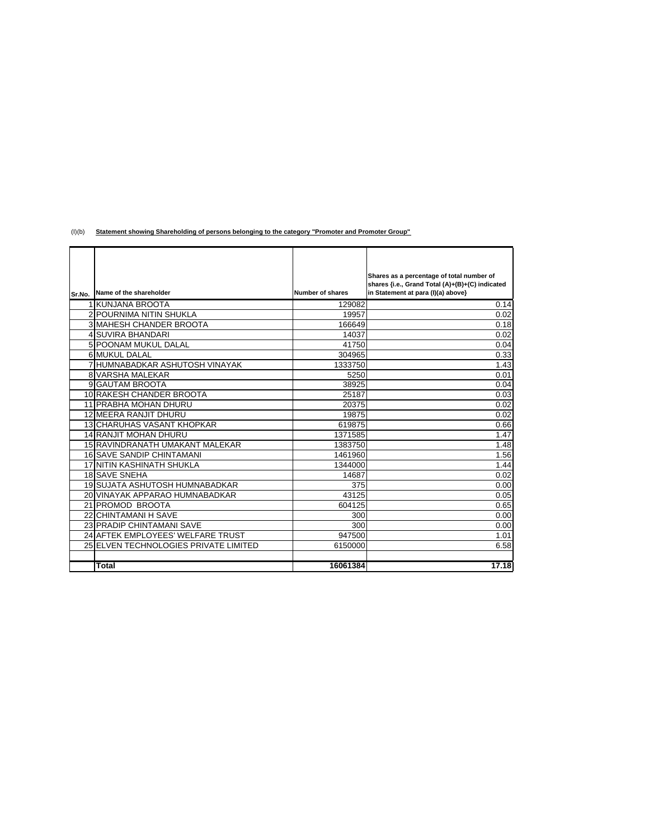(I)(b) **Statement showing Shareholding of persons belonging to the category "Promoter and Promoter Group"**

|        |                                       |                  | Shares as a percentage of total number of                                             |
|--------|---------------------------------------|------------------|---------------------------------------------------------------------------------------|
|        | Name of the shareholder               | Number of shares | shares {i.e., Grand Total (A)+(B)+(C) indicated<br>in Statement at para (I)(a) above} |
| Sr.No. |                                       |                  |                                                                                       |
|        | 1 KUNJANA BROOTA                      | 129082           | 0.14                                                                                  |
|        | <b>2 POURNIMA NITIN SHUKLA</b>        | 19957            | 0.02                                                                                  |
|        | <b>3 MAHESH CHANDER BROOTA</b>        | 166649           | 0.18                                                                                  |
|        | <b>4 SUVIRA BHANDARI</b>              | 14037            | 0.02                                                                                  |
|        | 5 POONAM MUKUL DALAL                  | 41750            | 0.04                                                                                  |
|        | 6 MUKUL DALAL                         | 304965           | 0.33                                                                                  |
|        | 7 HUMNABADKAR ASHUTOSH VINAYAK        | 1333750          | 1.43                                                                                  |
|        | <b>8 VARSHA MALEKAR</b>               | 5250             | 0.01                                                                                  |
|        | 9 GAUTAM BROOTA                       | 38925            | 0.04                                                                                  |
|        | 10 RAKESH CHANDER BROOTA              | 25187            | 0.03                                                                                  |
|        | <b>11 PRABHA MOHAN DHURU</b>          | 20375            | 0.02                                                                                  |
|        | 12 MEERA RANJIT DHURU                 | 19875            | 0.02                                                                                  |
|        | <b>13 CHARUHAS VASANT KHOPKAR</b>     | 619875           | 0.66                                                                                  |
|        | <b>14 RANJIT MOHAN DHURU</b>          | 1371585          | 1.47                                                                                  |
|        | 15 RAVINDRANATH UMAKANT MALEKAR       | 1383750          | 1.48                                                                                  |
|        | <b>16 SAVE SANDIP CHINTAMANI</b>      | 1461960          | 1.56                                                                                  |
|        | 17 NITIN KASHINATH SHUKLA             | 1344000          | 1.44                                                                                  |
|        | 18 SAVE SNEHA                         | 14687            | 0.02                                                                                  |
|        | 19 SUJATA ASHUTOSH HUMNABADKAR        | 375              | 0.00                                                                                  |
|        | 20 VINAYAK APPARAO HUMNABADKAR        | 43125            | 0.05                                                                                  |
|        | 21 PROMOD BROOTA                      | 604125           | 0.65                                                                                  |
|        | 22 CHINTAMANI H SAVE                  | 300              | 0.00                                                                                  |
|        | <b>23 PRADIP CHINTAMANI SAVE</b>      | 300              | 0.00                                                                                  |
|        | 24 AFTEK EMPLOYEES' WELFARE TRUST     | 947500           | 1.01                                                                                  |
|        | 25 ELVEN TECHNOLOGIES PRIVATE LIMITED | 6150000          | 6.58                                                                                  |
|        |                                       |                  |                                                                                       |
|        | Total                                 | 16061384         | 17.18                                                                                 |